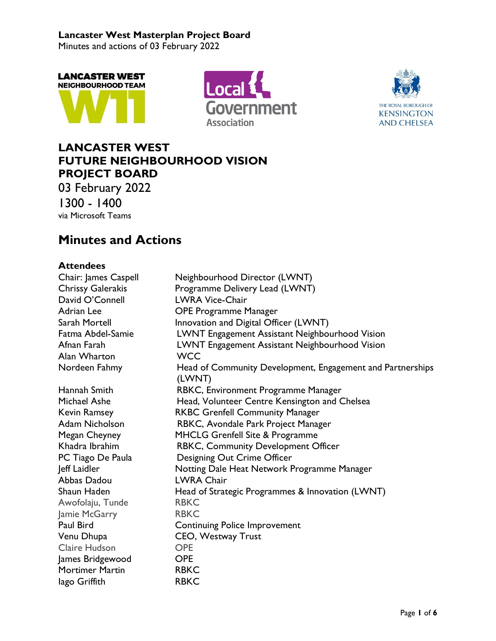Minutes and actions of 03 February 2022







## **LANCASTER WEST FUTURE NEIGHBOURHOOD VISION PROJECT BOARD**

03 February 2022 1300 - 1400 via Microsoft Teams

## **Minutes and Actions**

### **Attendees**

| Chair: James Caspell     | Neighbourhood Director (LWNT)                                        |
|--------------------------|----------------------------------------------------------------------|
| <b>Chrissy Galerakis</b> | Programme Delivery Lead (LWNT)                                       |
| David O'Connell          | <b>LWRA Vice-Chair</b>                                               |
| <b>Adrian Lee</b>        | <b>OPE Programme Manager</b>                                         |
| Sarah Mortell            | Innovation and Digital Officer (LWNT)                                |
| Fatma Abdel-Samie        | LWNT Engagement Assistant Neighbourhood Vision                       |
| Afnan Farah              | LWNT Engagement Assistant Neighbourhood Vision                       |
| Alan Wharton             | <b>WCC</b>                                                           |
| Nordeen Fahmy            | Head of Community Development, Engagement and Partnerships<br>(LWNT) |
| Hannah Smith             | RBKC, Environment Programme Manager                                  |
| Michael Ashe             | Head, Volunteer Centre Kensington and Chelsea                        |
| <b>Kevin Ramsey</b>      | <b>RKBC Grenfell Community Manager</b>                               |
| Adam Nicholson           | RBKC, Avondale Park Project Manager                                  |
| Megan Cheyney            | MHCLG Grenfell Site & Programme                                      |
| Khadra Ibrahim           | RBKC, Community Development Officer                                  |
| PC Tiago De Paula        | Designing Out Crime Officer                                          |
| Jeff Laidler             | Notting Dale Heat Network Programme Manager                          |
| Abbas Dadou              | <b>LWRA Chair</b>                                                    |
| Shaun Haden              | Head of Strategic Programmes & Innovation (LWNT)                     |
| Awofolaju, Tunde         | <b>RBKC</b>                                                          |
| Jamie McGarry            | <b>RBKC</b>                                                          |
| Paul Bird                | <b>Continuing Police Improvement</b>                                 |
| Venu Dhupa               | CEO, Westway Trust                                                   |
| Claire Hudson            | <b>OPE</b>                                                           |
| James Bridgewood         | <b>OPE</b>                                                           |
| <b>Mortimer Martin</b>   | <b>RBKC</b>                                                          |
| lago Griffith            | <b>RBKC</b>                                                          |
|                          |                                                                      |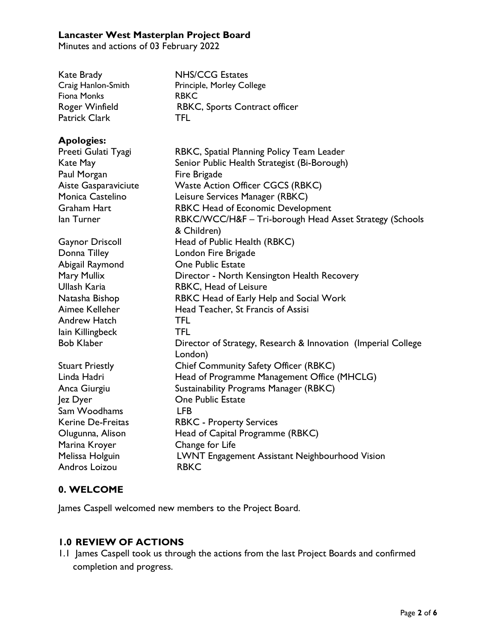Minutes and actions of 03 February 2022

| <b>NHS/CCG Estates</b><br>Principle, Morley College<br><b>RBKC</b><br>RBKC, Sports Contract officer |
|-----------------------------------------------------------------------------------------------------|
| <b>TFL</b>                                                                                          |
|                                                                                                     |

#### **Apologies:**

| Preeti Gulati Tyagi<br>Kate May<br>Paul Morgan<br>Aiste Gasparaviciute<br>Monica Castelino<br><b>Graham Hart</b> | RBKC, Spatial Planning Policy Team Leader<br>Senior Public Health Strategist (Bi-Borough)<br>Fire Brigade<br><b>Waste Action Officer CGCS (RBKC)</b><br>Leisure Services Manager (RBKC)<br>RBKC Head of Economic Development |
|------------------------------------------------------------------------------------------------------------------|------------------------------------------------------------------------------------------------------------------------------------------------------------------------------------------------------------------------------|
| lan Turner                                                                                                       | RBKC/WCC/H&F - Tri-borough Head Asset Strategy (Schools<br>& Children)                                                                                                                                                       |
| <b>Gaynor Driscoll</b>                                                                                           | Head of Public Health (RBKC)                                                                                                                                                                                                 |
| Donna Tilley                                                                                                     | London Fire Brigade                                                                                                                                                                                                          |
| Abigail Raymond                                                                                                  | <b>One Public Estate</b>                                                                                                                                                                                                     |
| Mary Mullix                                                                                                      | Director - North Kensington Health Recovery                                                                                                                                                                                  |
| Ullash Karia                                                                                                     | RBKC, Head of Leisure                                                                                                                                                                                                        |
| Natasha Bishop                                                                                                   | RBKC Head of Early Help and Social Work                                                                                                                                                                                      |
| Aimee Kelleher                                                                                                   | Head Teacher, St Francis of Assisi                                                                                                                                                                                           |
| <b>Andrew Hatch</b>                                                                                              | <b>TFL</b>                                                                                                                                                                                                                   |
| lain Killingbeck                                                                                                 | <b>TFL</b>                                                                                                                                                                                                                   |
| <b>Bob Klaber</b>                                                                                                | Director of Strategy, Research & Innovation (Imperial College<br>London)                                                                                                                                                     |
| <b>Stuart Priestly</b>                                                                                           | Chief Community Safety Officer (RBKC)                                                                                                                                                                                        |
| Linda Hadri                                                                                                      | Head of Programme Management Office (MHCLG)                                                                                                                                                                                  |
| Anca Giurgiu                                                                                                     | Sustainability Programs Manager (RBKC)                                                                                                                                                                                       |
| Jez Dyer                                                                                                         | <b>One Public Estate</b>                                                                                                                                                                                                     |
| Sam Woodhams                                                                                                     | <b>LFB</b>                                                                                                                                                                                                                   |
| <b>Kerine De-Freitas</b>                                                                                         | <b>RBKC</b> - Property Services                                                                                                                                                                                              |
| Olugunna, Alison                                                                                                 | Head of Capital Programme (RBKC)                                                                                                                                                                                             |
| Marina Kroyer                                                                                                    | Change for Life                                                                                                                                                                                                              |
| Melissa Holguin                                                                                                  | LWNT Engagement Assistant Neighbourhood Vision                                                                                                                                                                               |
| Andros Loizou                                                                                                    | <b>RBKC</b>                                                                                                                                                                                                                  |

#### **0. WELCOME**

James Caspell welcomed new members to the Project Board.

## **1.0 REVIEW OF ACTIONS**

1.1 James Caspell took us through the actions from the last Project Boards and confirmed completion and progress.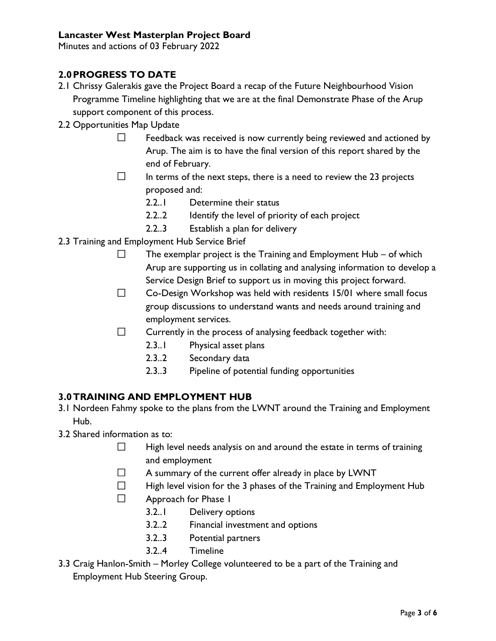Minutes and actions of 03 February 2022

## **2.0PROGRESS TO DATE**

- 2.1 Chrissy Galerakis gave the Project Board a recap of the Future Neighbourhood Vision Programme Timeline highlighting that we are at the final Demonstrate Phase of the Arup support component of this process.
- 2.2 Opportunities Map Update
	- $\Box$ Feedback was received is now currently being reviewed and actioned by Arup. The aim is to have the final version of this report shared by the end of February.
	- $\Box$ In terms of the next steps, there is a need to review the 23 projects proposed and:
		- 2.2..1 Determine their status
		- 2.2..2 Identify the level of priority of each project
		- 2.2..3 Establish a plan for delivery
- 2.3 Training and Employment Hub Service Brief
	- $\Box$ The exemplar project is the Training and Employment Hub – of which Arup are supporting us in collating and analysing information to develop a Service Design Brief to support us in moving this project forward.
	- $\Box$ Co-Design Workshop was held with residents 15/01 where small focus group discussions to understand wants and needs around training and employment services.
	- $\Box$ Currently in the process of analysing feedback together with:
		- 2.3..1 Physical asset plans
		- 2.3..2 Secondary data
		- 2.3..3 Pipeline of potential funding opportunities

#### **3.0TRAINING AND EMPLOYMENT HUB**

- 3.1 Nordeen Fahmy spoke to the plans from the LWNT around the Training and Employment Hub.
- 3.2 Shared information as to:
	- $\Box$ High level needs analysis on and around the estate in terms of training and employment
	- $\Box$ A summary of the current offer already in place by LWNT
	- $\Box$ High level vision for the 3 phases of the Training and Employment Hub
	- $\Box$ Approach for Phase 1
		- 3.2..1 Delivery options
		- 3.2..2 Financial investment and options
		- 3.2..3 Potential partners
		- 3.2..4 Timeline
- 3.3 Craig Hanlon-Smith Morley College volunteered to be a part of the Training and Employment Hub Steering Group.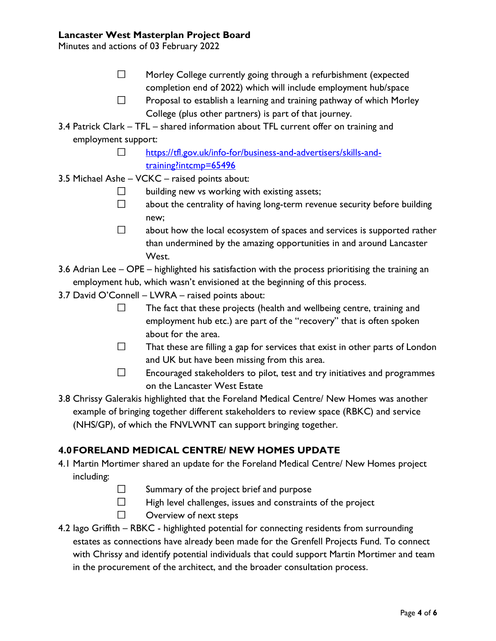Minutes and actions of 03 February 2022

- $\Box$ Morley College currently going through a refurbishment (expected completion end of 2022) which will include employment hub/space
- $\Box$ Proposal to establish a learning and training pathway of which Morley College (plus other partners) is part of that journey.
- 3.4 Patrick Clark TFL shared information about TFL current offer on training and employment support:
	- [https://tfl.gov.uk/info-for/business-and-advertisers/skills-and-](https://tfl.gov.uk/info-for/business-and-advertisers/skills-and-training?intcmp=65496) $\Box$ [training?intcmp=65496](https://tfl.gov.uk/info-for/business-and-advertisers/skills-and-training?intcmp=65496)
- 3.5 Michael Ashe VCKC raised points about:
	- $\Box$ building new vs working with existing assets;
	- $\Box$ about the centrality of having long-term revenue security before building new;
	- $\Box$ about how the local ecosystem of spaces and services is supported rather than undermined by the amazing opportunities in and around Lancaster West.
- 3.6 Adrian Lee OPE highlighted his satisfaction with the process prioritising the training an employment hub, which wasn't envisioned at the beginning of this process.
- 3.7 David O'Connell LWRA raised points about:
	- $\Box$ The fact that these projects (health and wellbeing centre, training and employment hub etc.) are part of the "recovery" that is often spoken about for the area.
	- $\Box$ That these are filling a gap for services that exist in other parts of London and UK but have been missing from this area.
	- $\Box$ Encouraged stakeholders to pilot, test and try initiatives and programmes on the Lancaster West Estate
- 3.8 Chrissy Galerakis highlighted that the Foreland Medical Centre/ New Homes was another example of bringing together different stakeholders to review space (RBKC) and service (NHS/GP), of which the FNVLWNT can support bringing together.

## **4.0FORELAND MEDICAL CENTRE/ NEW HOMES UPDATE**

- 4.1 Martin Mortimer shared an update for the Foreland Medical Centre/ New Homes project including:
	- $\Box$ Summary of the project brief and purpose
	- $\Box$ High level challenges, issues and constraints of the project
	- $\Box$ Overview of next steps
- 4.2 Iago Griffith RBKC highlighted potential for connecting residents from surrounding estates as connections have already been made for the Grenfell Projects Fund. To connect with Chrissy and identify potential individuals that could support Martin Mortimer and team in the procurement of the architect, and the broader consultation process.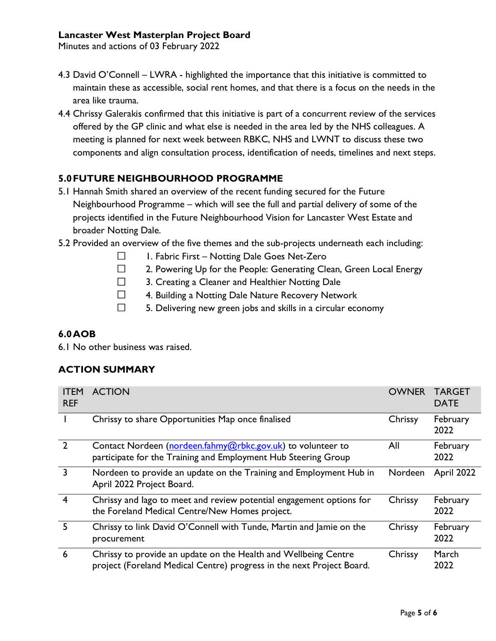Minutes and actions of 03 February 2022

- 4.3 David O'Connell LWRA highlighted the importance that this initiative is committed to maintain these as accessible, social rent homes, and that there is a focus on the needs in the area like trauma.
- 4.4 Chrissy Galerakis confirmed that this initiative is part of a concurrent review of the services offered by the GP clinic and what else is needed in the area led by the NHS colleagues. A meeting is planned for next week between RBKC, NHS and LWNT to discuss these two components and align consultation process, identification of needs, timelines and next steps.

## **5.0FUTURE NEIGHBOURHOOD PROGRAMME**

- 5.1 Hannah Smith shared an overview of the recent funding secured for the Future Neighbourhood Programme – which will see the full and partial delivery of some of the projects identified in the Future Neighbourhood Vision for Lancaster West Estate and broader Notting Dale.
- 5.2 Provided an overview of the five themes and the sub-projects underneath each including:
	- $\Box$ 1. Fabric First – Notting Dale Goes Net-Zero
	- $\Box$ 2. Powering Up for the People: Generating Clean, Green Local Energy
	- $\Box$ 3. Creating a Cleaner and Healthier Notting Dale
	- $\Box$ 4. Building a Notting Dale Nature Recovery Network
	- $\Box$ 5. Delivering new green jobs and skills in a circular economy

#### **6.0AOB**

6.1 No other business was raised.

## **ACTION SUMMARY**

| <b>ITEM</b><br><b>REF</b> | <b>ACTION</b>                                                                                                                            | <b>OWNER</b> | <b>TARGET</b><br><b>DATE</b> |
|---------------------------|------------------------------------------------------------------------------------------------------------------------------------------|--------------|------------------------------|
|                           | Chrissy to share Opportunities Map once finalised                                                                                        | Chrissy      | February<br>2022             |
| $\overline{2}$            | Contact Nordeen (nordeen.fahmy@rbkc.gov.uk) to volunteer to<br>participate for the Training and Employment Hub Steering Group            | All          | February<br>2022             |
| $\overline{3}$            | Nordeen to provide an update on the Training and Employment Hub in<br>April 2022 Project Board.                                          | Nordeen      | <b>April 2022</b>            |
| $\overline{4}$            | Chrissy and lago to meet and review potential engagement options for<br>the Foreland Medical Centre/New Homes project.                   | Chrissy      | February<br>2022             |
| 5                         | Chrissy to link David O'Connell with Tunde, Martin and Jamie on the<br>procurement                                                       | Chrissy      | February<br>2022             |
| 6                         | Chrissy to provide an update on the Health and Wellbeing Centre<br>project (Foreland Medical Centre) progress in the next Project Board. | Chrissy      | March<br>2022                |